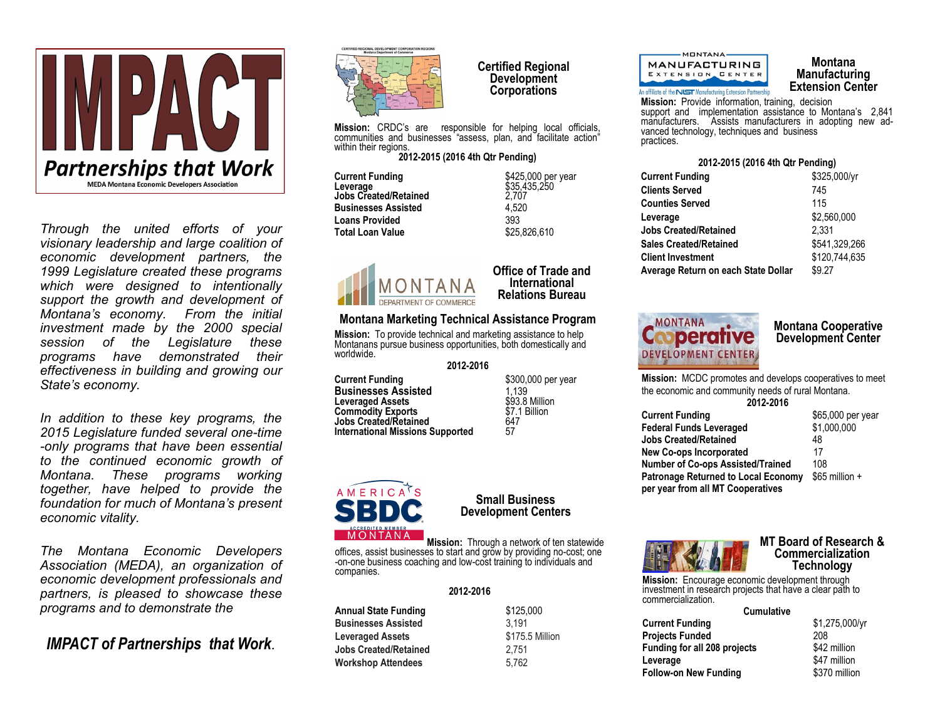

*Through the united efforts of your visionary leadership and large coalition of economic development partners, the 1999 Legislature created these programs which were designed to intentionally support the growth and development of Montana's economy. From the initial investment made by the 2000 special session of the Legislature these programs have demonstrated their effectiveness in building and growing our State's economy.*

*In addition to these key programs, the 2015 Legislature funded several one-time -only programs that have been essential to the continued economic growth of Montana. These programs working together, have helped to provide the foundation for much of Montana's present economic vitality.*

*The Montana Economic Developers Association (MEDA), an organization of economic development professionals and partners, is pleased to showcase these programs and to demonstrate the*

*IMPACT of Partnerships that Work.*



**Certified Regional Development Corporations** 

**Mission:** CRDC's are responsible for helping local officials, communities and businesses "assess, plan, and facilitate action" within their regions.

#### **2012-2015 (2016 4th Qtr Pending)**

**Current Funding**   $$425,000$  per year **Leverage** \$35,435,250 **Jobs Created/Retained** 2,707 **Businesses Assisted Loans Provided** 393 **Total Loan Value 625,826,610** 



#### **Office of Trade and International Relations Bureau**

# **Montana Marketing Technical Assistance Program**

**Mission:** To provide technical and marketing assistance to help Montanans pursue business opportunities, both domestically and worldwide.

#### **2012-2016**

**Current Funding**   $$300,000$  per year **Businesses Assisted** 1,139<br> **Leveraged Assets** 1,139<br>
1,139 **Leveraged Assets** \$93.8 Million<br>**Commodity Exports** \$7.1 Billion **Commodity Exports \$7.1**<br> **Commodity Exports 647**<br> **Commodity Exports 647 Jobs Created/Retained**<br>Jobs Created/Retained<br>International Missions Supported 57 **International Missions Supported** 



# **Small Business Development Centers**

**Annual State Funding** \$125,000 **Businesses Assisted** 3,191 **Leveraged Assets** \$175.5 Million

**Mission:** Through a network of ten statewide offices, assist businesses to start and grow by providing no-cost; one -on-one business coaching and low-cost training to individuals and companies.

### **2012-2016**

| Annual State Funding       | \$125.0 |
|----------------------------|---------|
| <b>Businesses Assisted</b> | 3.191   |
| <b>Leveraged Assets</b>    | \$175.5 |
| Jobs Created/Retained      | 2.751   |
| Workshop Attendees         | 5.762   |
|                            |         |

MONTANA-**MANUFACTURING** EXTENSION CENTER An offiliate of the **NUST** Manufacturing Extension Partnership

## **Montana Manufacturing Extension Center**

**Mission:** Provide information, training, decision support and implementation assistance to Montana's 2,841 manufacturers. Assists manufacturers in adopting new advanced technology, techniques and business practices.

### **2012-2015 (2016 4th Qtr Pending)**

| \$325,000/yr  |
|---------------|
| 745           |
| 115           |
| \$2,560,000   |
| 2.331         |
| \$541.329.266 |
| \$120.744.635 |
| \$9.27        |
|               |



# **Montana Cooperative Development Center**

**Mission:** MCDC promotes and develops cooperatives to meet the economic and community needs of rural Montana. **2012-2016**

| 2012-2016                                  |                   |
|--------------------------------------------|-------------------|
| <b>Current Funding</b>                     | \$65,000 per year |
| <b>Federal Funds Leveraged</b>             | \$1,000,000       |
| <b>Jobs Created/Retained</b>               | 48                |
| <b>New Co-ops Incorporated</b>             | 17                |
| Number of Co-ops Assisted/Trained          | 108               |
| <b>Patronage Returned to Local Economy</b> | $$65$ million $+$ |
| per year from all MT Cooperatives          |                   |



### **MT Board of Research & Commercialization Technology**

**Mission:** Encourage economic development through investment in research projects that have a clear path to commercialization.

| <b>Cumulative</b>                   |                |
|-------------------------------------|----------------|
| <b>Current Funding</b>              | \$1,275,000/yr |
| <b>Projects Funded</b>              | 208            |
| <b>Funding for all 208 projects</b> | \$42 million   |
| Leverage                            | \$47 million   |
| <b>Follow-on New Funding</b>        | \$370 million  |